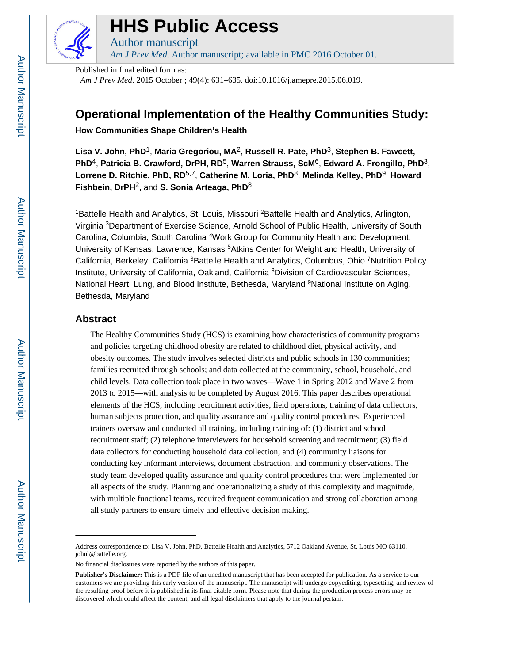

# **HHS Public Access**

Author manuscript *Am J Prev Med*. Author manuscript; available in PMC 2016 October 01.

Published in final edited form as:

*Am J Prev Med*. 2015 October ; 49(4): 631–635. doi:10.1016/j.amepre.2015.06.019.

# **Operational Implementation of the Healthy Communities Study:**

**How Communities Shape Children's Health**

**Lisa V. John, PhD**1, **Maria Gregoriou, MA**2, **Russell R. Pate, PhD**3, **Stephen B. Fawcett, PhD**4, **Patricia B. Crawford, DrPH, RD**5, **Warren Strauss, ScM**6, **Edward A. Frongillo, PhD**3, **Lorrene D. Ritchie, PhD, RD**5,7, **Catherine M. Loria, PhD**8, **Melinda Kelley, PhD**9, **Howard Fishbein, DrPH**2, and **S. Sonia Arteaga, PhD**<sup>8</sup>

<sup>1</sup>Battelle Health and Analytics, St. Louis, Missouri <sup>2</sup>Battelle Health and Analytics, Arlington, Virginia <sup>3</sup>Department of Exercise Science, Arnold School of Public Health, University of South Carolina, Columbia, South Carolina <sup>4</sup>Work Group for Community Health and Development, University of Kansas, Lawrence, Kansas <sup>5</sup>Atkins Center for Weight and Health, University of California, Berkeley, California <sup>6</sup>Battelle Health and Analytics, Columbus, Ohio <sup>7</sup>Nutrition Policy Institute, University of California, Oakland, California <sup>8</sup>Division of Cardiovascular Sciences, National Heart, Lung, and Blood Institute, Bethesda, Maryland <sup>9</sup>National Institute on Aging, Bethesda, Maryland

# **Abstract**

The Healthy Communities Study (HCS) is examining how characteristics of community programs and policies targeting childhood obesity are related to childhood diet, physical activity, and obesity outcomes. The study involves selected districts and public schools in 130 communities; families recruited through schools; and data collected at the community, school, household, and child levels. Data collection took place in two waves—Wave 1 in Spring 2012 and Wave 2 from 2013 to 2015—with analysis to be completed by August 2016. This paper describes operational elements of the HCS, including recruitment activities, field operations, training of data collectors, human subjects protection, and quality assurance and quality control procedures. Experienced trainers oversaw and conducted all training, including training of: (1) district and school recruitment staff; (2) telephone interviewers for household screening and recruitment; (3) field data collectors for conducting household data collection; and (4) community liaisons for conducting key informant interviews, document abstraction, and community observations. The study team developed quality assurance and quality control procedures that were implemented for all aspects of the study. Planning and operationalizing a study of this complexity and magnitude, with multiple functional teams, required frequent communication and strong collaboration among all study partners to ensure timely and effective decision making.

Address correspondence to: Lisa V. John, PhD, Battelle Health and Analytics, 5712 Oakland Avenue, St. Louis MO 63110. johnl@battelle.org.

No financial disclosures were reported by the authors of this paper.

**Publisher's Disclaimer:** This is a PDF file of an unedited manuscript that has been accepted for publication. As a service to our customers we are providing this early version of the manuscript. The manuscript will undergo copyediting, typesetting, and review of the resulting proof before it is published in its final citable form. Please note that during the production process errors may be discovered which could affect the content, and all legal disclaimers that apply to the journal pertain.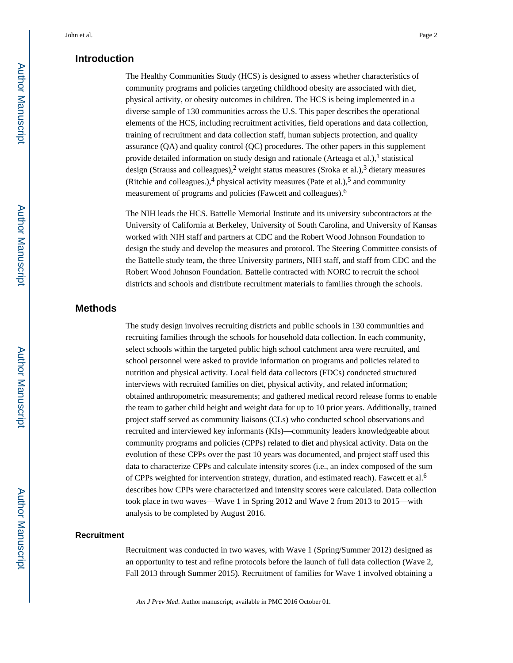## **Introduction**

The Healthy Communities Study (HCS) is designed to assess whether characteristics of community programs and policies targeting childhood obesity are associated with diet, physical activity, or obesity outcomes in children. The HCS is being implemented in a diverse sample of 130 communities across the U.S. This paper describes the operational elements of the HCS, including recruitment activities, field operations and data collection, training of recruitment and data collection staff, human subjects protection, and quality assurance (QA) and quality control (QC) procedures. The other papers in this supplement provide detailed information on study design and rationale (Arteaga et al.),<sup>1</sup> statistical design (Strauss and colleagues),<sup>2</sup> weight status measures (Sroka et al.),<sup>3</sup> dietary measures (Ritchie and colleagues.),  $4$  physical activity measures (Pate et al.),  $5$  and community measurement of programs and policies (Fawcett and colleagues).<sup>6</sup>

The NIH leads the HCS. Battelle Memorial Institute and its university subcontractors at the University of California at Berkeley, University of South Carolina, and University of Kansas worked with NIH staff and partners at CDC and the Robert Wood Johnson Foundation to design the study and develop the measures and protocol. The Steering Committee consists of the Battelle study team, the three University partners, NIH staff, and staff from CDC and the Robert Wood Johnson Foundation. Battelle contracted with NORC to recruit the school districts and schools and distribute recruitment materials to families through the schools.

# **Methods**

The study design involves recruiting districts and public schools in 130 communities and recruiting families through the schools for household data collection. In each community, select schools within the targeted public high school catchment area were recruited, and school personnel were asked to provide information on programs and policies related to nutrition and physical activity. Local field data collectors (FDCs) conducted structured interviews with recruited families on diet, physical activity, and related information; obtained anthropometric measurements; and gathered medical record release forms to enable the team to gather child height and weight data for up to 10 prior years. Additionally, trained project staff served as community liaisons (CLs) who conducted school observations and recruited and interviewed key informants (KIs)—community leaders knowledgeable about community programs and policies (CPPs) related to diet and physical activity. Data on the evolution of these CPPs over the past 10 years was documented, and project staff used this data to characterize CPPs and calculate intensity scores (i.e., an index composed of the sum of CPPs weighted for intervention strategy, duration, and estimated reach). Fawcett et al.<sup>6</sup> describes how CPPs were characterized and intensity scores were calculated. Data collection took place in two waves—Wave 1 in Spring 2012 and Wave 2 from 2013 to 2015—with analysis to be completed by August 2016.

#### **Recruitment**

Recruitment was conducted in two waves, with Wave 1 (Spring/Summer 2012) designed as an opportunity to test and refine protocols before the launch of full data collection (Wave 2, Fall 2013 through Summer 2015). Recruitment of families for Wave 1 involved obtaining a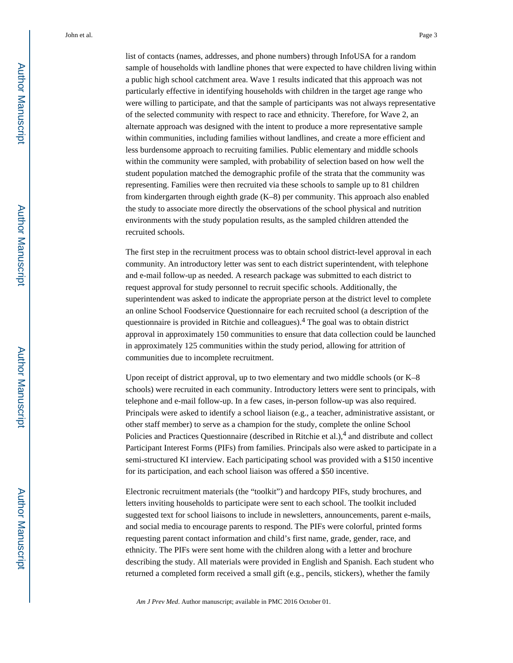list of contacts (names, addresses, and phone numbers) through InfoUSA for a random sample of households with landline phones that were expected to have children living within a public high school catchment area. Wave 1 results indicated that this approach was not particularly effective in identifying households with children in the target age range who were willing to participate, and that the sample of participants was not always representative of the selected community with respect to race and ethnicity. Therefore, for Wave 2, an alternate approach was designed with the intent to produce a more representative sample within communities, including families without landlines, and create a more efficient and less burdensome approach to recruiting families. Public elementary and middle schools within the community were sampled, with probability of selection based on how well the student population matched the demographic profile of the strata that the community was representing. Families were then recruited via these schools to sample up to 81 children from kindergarten through eighth grade (K–8) per community. This approach also enabled the study to associate more directly the observations of the school physical and nutrition environments with the study population results, as the sampled children attended the recruited schools.

The first step in the recruitment process was to obtain school district-level approval in each community. An introductory letter was sent to each district superintendent, with telephone and e-mail follow-up as needed. A research package was submitted to each district to request approval for study personnel to recruit specific schools. Additionally, the superintendent was asked to indicate the appropriate person at the district level to complete an online School Foodservice Questionnaire for each recruited school (a description of the questionnaire is provided in Ritchie and colleagues).<sup>4</sup> The goal was to obtain district approval in approximately 150 communities to ensure that data collection could be launched in approximately 125 communities within the study period, allowing for attrition of communities due to incomplete recruitment.

Upon receipt of district approval, up to two elementary and two middle schools (or K–8 schools) were recruited in each community. Introductory letters were sent to principals, with telephone and e-mail follow-up. In a few cases, in-person follow-up was also required. Principals were asked to identify a school liaison (e.g., a teacher, administrative assistant, or other staff member) to serve as a champion for the study, complete the online School Policies and Practices Questionnaire (described in Ritchie et al.),<sup>4</sup> and distribute and collect Participant Interest Forms (PIFs) from families. Principals also were asked to participate in a semi-structured KI interview. Each participating school was provided with a \$150 incentive for its participation, and each school liaison was offered a \$50 incentive.

Electronic recruitment materials (the "toolkit") and hardcopy PIFs, study brochures, and letters inviting households to participate were sent to each school. The toolkit included suggested text for school liaisons to include in newsletters, announcements, parent e-mails, and social media to encourage parents to respond. The PIFs were colorful, printed forms requesting parent contact information and child's first name, grade, gender, race, and ethnicity. The PIFs were sent home with the children along with a letter and brochure describing the study. All materials were provided in English and Spanish. Each student who returned a completed form received a small gift (e.g., pencils, stickers), whether the family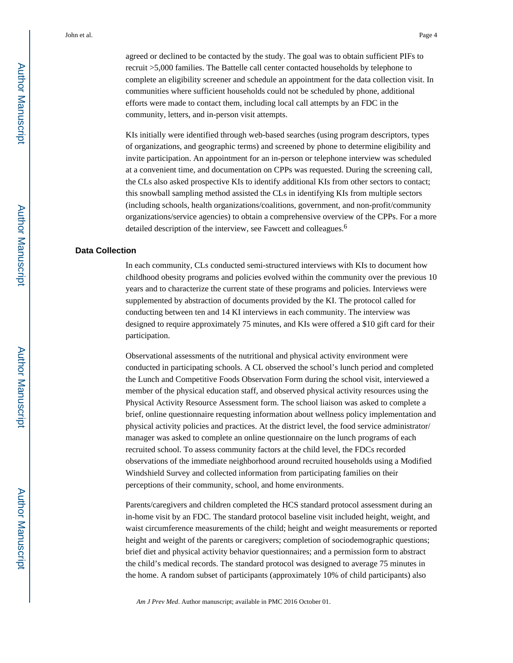agreed or declined to be contacted by the study. The goal was to obtain sufficient PIFs to recruit >5,000 families. The Battelle call center contacted households by telephone to complete an eligibility screener and schedule an appointment for the data collection visit. In communities where sufficient households could not be scheduled by phone, additional efforts were made to contact them, including local call attempts by an FDC in the community, letters, and in-person visit attempts.

KIs initially were identified through web-based searches (using program descriptors, types of organizations, and geographic terms) and screened by phone to determine eligibility and invite participation. An appointment for an in-person or telephone interview was scheduled at a convenient time, and documentation on CPPs was requested. During the screening call, the CLs also asked prospective KIs to identify additional KIs from other sectors to contact; this snowball sampling method assisted the CLs in identifying KIs from multiple sectors (including schools, health organizations/coalitions, government, and non-profit/community organizations/service agencies) to obtain a comprehensive overview of the CPPs. For a more detailed description of the interview, see Fawcett and colleagues.<sup>6</sup>

#### **Data Collection**

In each community, CLs conducted semi-structured interviews with KIs to document how childhood obesity programs and policies evolved within the community over the previous 10 years and to characterize the current state of these programs and policies. Interviews were supplemented by abstraction of documents provided by the KI. The protocol called for conducting between ten and 14 KI interviews in each community. The interview was designed to require approximately 75 minutes, and KIs were offered a \$10 gift card for their participation.

Observational assessments of the nutritional and physical activity environment were conducted in participating schools. A CL observed the school's lunch period and completed the Lunch and Competitive Foods Observation Form during the school visit, interviewed a member of the physical education staff, and observed physical activity resources using the Physical Activity Resource Assessment form. The school liaison was asked to complete a brief, online questionnaire requesting information about wellness policy implementation and physical activity policies and practices. At the district level, the food service administrator/ manager was asked to complete an online questionnaire on the lunch programs of each recruited school. To assess community factors at the child level, the FDCs recorded observations of the immediate neighborhood around recruited households using a Modified Windshield Survey and collected information from participating families on their perceptions of their community, school, and home environments.

Parents/caregivers and children completed the HCS standard protocol assessment during an in-home visit by an FDC. The standard protocol baseline visit included height, weight, and waist circumference measurements of the child; height and weight measurements or reported height and weight of the parents or caregivers; completion of sociodemographic questions; brief diet and physical activity behavior questionnaires; and a permission form to abstract the child's medical records. The standard protocol was designed to average 75 minutes in the home. A random subset of participants (approximately 10% of child participants) also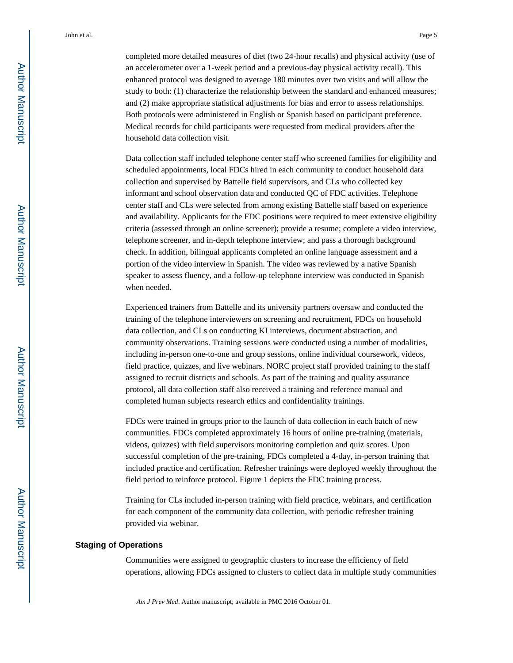completed more detailed measures of diet (two 24-hour recalls) and physical activity (use of an accelerometer over a 1-week period and a previous-day physical activity recall). This enhanced protocol was designed to average 180 minutes over two visits and will allow the study to both: (1) characterize the relationship between the standard and enhanced measures; and (2) make appropriate statistical adjustments for bias and error to assess relationships. Both protocols were administered in English or Spanish based on participant preference. Medical records for child participants were requested from medical providers after the household data collection visit.

Data collection staff included telephone center staff who screened families for eligibility and scheduled appointments, local FDCs hired in each community to conduct household data collection and supervised by Battelle field supervisors, and CLs who collected key informant and school observation data and conducted QC of FDC activities. Telephone center staff and CLs were selected from among existing Battelle staff based on experience and availability. Applicants for the FDC positions were required to meet extensive eligibility criteria (assessed through an online screener); provide a resume; complete a video interview, telephone screener, and in-depth telephone interview; and pass a thorough background check. In addition, bilingual applicants completed an online language assessment and a portion of the video interview in Spanish. The video was reviewed by a native Spanish speaker to assess fluency, and a follow-up telephone interview was conducted in Spanish when needed.

Experienced trainers from Battelle and its university partners oversaw and conducted the training of the telephone interviewers on screening and recruitment, FDCs on household data collection, and CLs on conducting KI interviews, document abstraction, and community observations. Training sessions were conducted using a number of modalities, including in-person one-to-one and group sessions, online individual coursework, videos, field practice, quizzes, and live webinars. NORC project staff provided training to the staff assigned to recruit districts and schools. As part of the training and quality assurance protocol, all data collection staff also received a training and reference manual and completed human subjects research ethics and confidentiality trainings.

FDCs were trained in groups prior to the launch of data collection in each batch of new communities. FDCs completed approximately 16 hours of online pre-training (materials, videos, quizzes) with field supervisors monitoring completion and quiz scores. Upon successful completion of the pre-training, FDCs completed a 4-day, in-person training that included practice and certification. Refresher trainings were deployed weekly throughout the field period to reinforce protocol. Figure 1 depicts the FDC training process.

Training for CLs included in-person training with field practice, webinars, and certification for each component of the community data collection, with periodic refresher training provided via webinar.

#### **Staging of Operations**

Communities were assigned to geographic clusters to increase the efficiency of field operations, allowing FDCs assigned to clusters to collect data in multiple study communities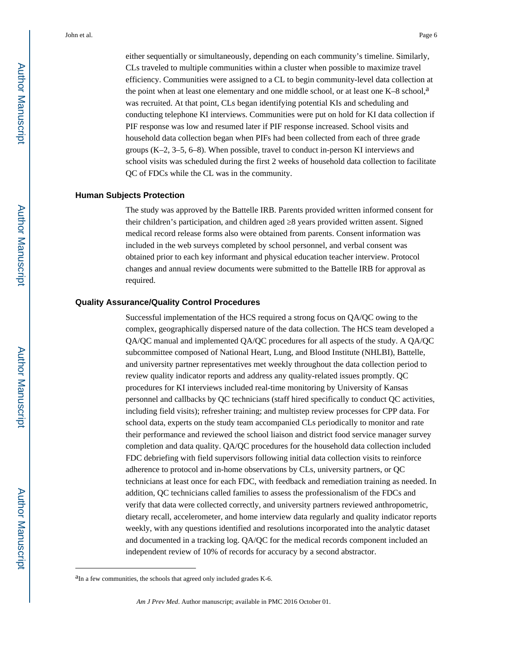either sequentially or simultaneously, depending on each community's timeline. Similarly, CLs traveled to multiple communities within a cluster when possible to maximize travel efficiency. Communities were assigned to a CL to begin community-level data collection at the point when at least one elementary and one middle school, or at least one K-8 school,<sup>a</sup> was recruited. At that point, CLs began identifying potential KIs and scheduling and conducting telephone KI interviews. Communities were put on hold for KI data collection if PIF response was low and resumed later if PIF response increased. School visits and household data collection began when PIFs had been collected from each of three grade groups (K–2, 3–5, 6–8). When possible, travel to conduct in-person KI interviews and school visits was scheduled during the first 2 weeks of household data collection to facilitate QC of FDCs while the CL was in the community.

#### **Human Subjects Protection**

The study was approved by the Battelle IRB. Parents provided written informed consent for their children's participation, and children aged ≥8 years provided written assent. Signed medical record release forms also were obtained from parents. Consent information was included in the web surveys completed by school personnel, and verbal consent was obtained prior to each key informant and physical education teacher interview. Protocol changes and annual review documents were submitted to the Battelle IRB for approval as required.

#### **Quality Assurance/Quality Control Procedures**

Successful implementation of the HCS required a strong focus on QA/QC owing to the complex, geographically dispersed nature of the data collection. The HCS team developed a QA/QC manual and implemented QA/QC procedures for all aspects of the study. A QA/QC subcommittee composed of National Heart, Lung, and Blood Institute (NHLBI), Battelle, and university partner representatives met weekly throughout the data collection period to review quality indicator reports and address any quality-related issues promptly. QC procedures for KI interviews included real-time monitoring by University of Kansas personnel and callbacks by QC technicians (staff hired specifically to conduct QC activities, including field visits); refresher training; and multistep review processes for CPP data. For school data, experts on the study team accompanied CLs periodically to monitor and rate their performance and reviewed the school liaison and district food service manager survey completion and data quality. QA/QC procedures for the household data collection included FDC debriefing with field supervisors following initial data collection visits to reinforce adherence to protocol and in-home observations by CLs, university partners, or QC technicians at least once for each FDC, with feedback and remediation training as needed. In addition, QC technicians called families to assess the professionalism of the FDCs and verify that data were collected correctly, and university partners reviewed anthropometric, dietary recall, accelerometer, and home interview data regularly and quality indicator reports weekly, with any questions identified and resolutions incorporated into the analytic dataset and documented in a tracking log. QA/QC for the medical records component included an independent review of 10% of records for accuracy by a second abstractor.

<sup>&</sup>lt;sup>a</sup>In a few communities, the schools that agreed only included grades K-6.

*Am J Prev Med*. Author manuscript; available in PMC 2016 October 01.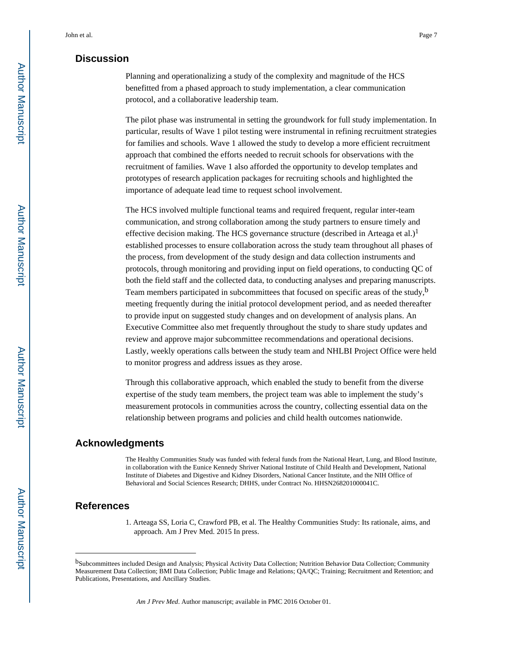# **Discussion**

Planning and operationalizing a study of the complexity and magnitude of the HCS benefitted from a phased approach to study implementation, a clear communication protocol, and a collaborative leadership team.

The pilot phase was instrumental in setting the groundwork for full study implementation. In particular, results of Wave 1 pilot testing were instrumental in refining recruitment strategies for families and schools. Wave 1 allowed the study to develop a more efficient recruitment approach that combined the efforts needed to recruit schools for observations with the recruitment of families. Wave 1 also afforded the opportunity to develop templates and prototypes of research application packages for recruiting schools and highlighted the importance of adequate lead time to request school involvement.

The HCS involved multiple functional teams and required frequent, regular inter-team communication, and strong collaboration among the study partners to ensure timely and effective decision making. The HCS governance structure (described in Arteaga et al.)<sup>1</sup> established processes to ensure collaboration across the study team throughout all phases of the process, from development of the study design and data collection instruments and protocols, through monitoring and providing input on field operations, to conducting QC of both the field staff and the collected data, to conducting analyses and preparing manuscripts. Team members participated in subcommittees that focused on specific areas of the study,  $\overline{b}$ meeting frequently during the initial protocol development period, and as needed thereafter to provide input on suggested study changes and on development of analysis plans. An Executive Committee also met frequently throughout the study to share study updates and review and approve major subcommittee recommendations and operational decisions. Lastly, weekly operations calls between the study team and NHLBI Project Office were held to monitor progress and address issues as they arose.

Through this collaborative approach, which enabled the study to benefit from the diverse expertise of the study team members, the project team was able to implement the study's measurement protocols in communities across the country, collecting essential data on the relationship between programs and policies and child health outcomes nationwide.

## **Acknowledgments**

The Healthy Communities Study was funded with federal funds from the National Heart, Lung, and Blood Institute, in collaboration with the Eunice Kennedy Shriver National Institute of Child Health and Development, National Institute of Diabetes and Digestive and Kidney Disorders, National Cancer Institute, and the NIH Office of Behavioral and Social Sciences Research; DHHS, under Contract No. HHSN268201000041C.

# **References**

1. Arteaga SS, Loria C, Crawford PB, et al. The Healthy Communities Study: Its rationale, aims, and approach. Am J Prev Med. 2015 In press.

bSubcommittees included Design and Analysis; Physical Activity Data Collection; Nutrition Behavior Data Collection; Community Measurement Data Collection; BMI Data Collection; Public Image and Relations; QA/QC; Training; Recruitment and Retention; and Publications, Presentations, and Ancillary Studies.

*Am J Prev Med*. Author manuscript; available in PMC 2016 October 01.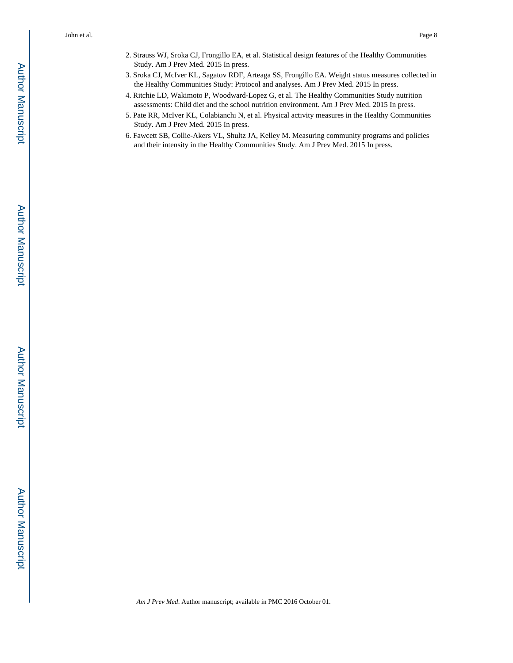- 2. Strauss WJ, Sroka CJ, Frongillo EA, et al. Statistical design features of the Healthy Communities Study. Am J Prev Med. 2015 In press.
- 3. Sroka CJ, McIver KL, Sagatov RDF, Arteaga SS, Frongillo EA. Weight status measures collected in the Healthy Communities Study: Protocol and analyses. Am J Prev Med. 2015 In press.
- 4. Ritchie LD, Wakimoto P, Woodward-Lopez G, et al. The Healthy Communities Study nutrition assessments: Child diet and the school nutrition environment. Am J Prev Med. 2015 In press.
- 5. Pate RR, McIver KL, Colabianchi N, et al. Physical activity measures in the Healthy Communities Study. Am J Prev Med. 2015 In press.
- 6. Fawcett SB, Collie-Akers VL, Shultz JA, Kelley M. Measuring community programs and policies and their intensity in the Healthy Communities Study. Am J Prev Med. 2015 In press.